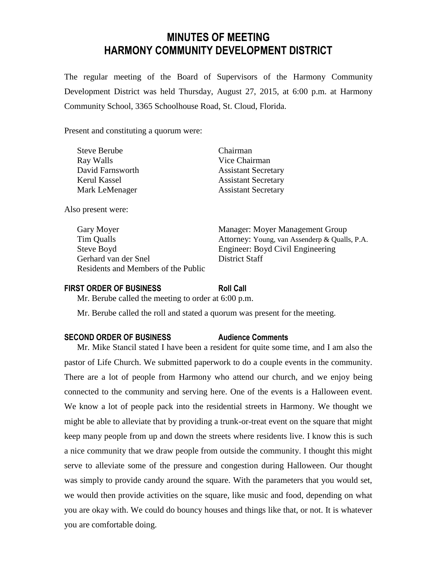# **MINUTES OF MEETING HARMONY COMMUNITY DEVELOPMENT DISTRICT**

The regular meeting of the Board of Supervisors of the Harmony Community Development District was held Thursday, August 27, 2015, at 6:00 p.m. at Harmony Community School, 3365 Schoolhouse Road, St. Cloud, Florida.

Present and constituting a quorum were:

| <b>Steve Berube</b> | Chairman                   |
|---------------------|----------------------------|
| Ray Walls           | Vice Chairman              |
| David Farnsworth    | <b>Assistant Secretary</b> |
| Kerul Kassel        | <b>Assistant Secretary</b> |
| Mark LeMenager      | <b>Assistant Secretary</b> |

Also present were:

Steve Boyd Engineer: Boyd Civil Engineering Gerhard van der Snel District Staff Residents and Members of the Public

Gary Moyer Manager: Moyer Management Group Tim Qualls Attorney: Young, van Assenderp & Qualls, P.A.

#### **FIRST ORDER OF BUSINESS Roll Call**

Mr. Berube called the meeting to order at 6:00 p.m.

Mr. Berube called the roll and stated a quorum was present for the meeting.

#### **SECOND ORDER OF BUSINESS Audience Comments**

Mr. Mike Stancil stated I have been a resident for quite some time, and I am also the pastor of Life Church. We submitted paperwork to do a couple events in the community. There are a lot of people from Harmony who attend our church, and we enjoy being connected to the community and serving here. One of the events is a Halloween event. We know a lot of people pack into the residential streets in Harmony. We thought we might be able to alleviate that by providing a trunk-or-treat event on the square that might keep many people from up and down the streets where residents live. I know this is such a nice community that we draw people from outside the community. I thought this might serve to alleviate some of the pressure and congestion during Halloween. Our thought was simply to provide candy around the square. With the parameters that you would set, we would then provide activities on the square, like music and food, depending on what you are okay with. We could do bouncy houses and things like that, or not. It is whatever you are comfortable doing.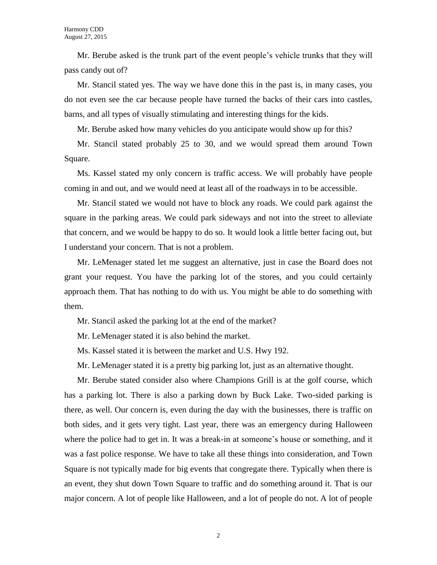Mr. Berube asked is the trunk part of the event people's vehicle trunks that they will pass candy out of?

Mr. Stancil stated yes. The way we have done this in the past is, in many cases, you do not even see the car because people have turned the backs of their cars into castles, barns, and all types of visually stimulating and interesting things for the kids.

Mr. Berube asked how many vehicles do you anticipate would show up for this?

Mr. Stancil stated probably 25 to 30, and we would spread them around Town Square.

Ms. Kassel stated my only concern is traffic access. We will probably have people coming in and out, and we would need at least all of the roadways in to be accessible.

Mr. Stancil stated we would not have to block any roads. We could park against the square in the parking areas. We could park sideways and not into the street to alleviate that concern, and we would be happy to do so. It would look a little better facing out, but I understand your concern. That is not a problem.

Mr. LeMenager stated let me suggest an alternative, just in case the Board does not grant your request. You have the parking lot of the stores, and you could certainly approach them. That has nothing to do with us. You might be able to do something with them.

Mr. Stancil asked the parking lot at the end of the market?

Mr. LeMenager stated it is also behind the market.

Ms. Kassel stated it is between the market and U.S. Hwy 192.

Mr. LeMenager stated it is a pretty big parking lot, just as an alternative thought.

Mr. Berube stated consider also where Champions Grill is at the golf course, which has a parking lot. There is also a parking down by Buck Lake. Two-sided parking is there, as well. Our concern is, even during the day with the businesses, there is traffic on both sides, and it gets very tight. Last year, there was an emergency during Halloween where the police had to get in. It was a break-in at someone's house or something, and it was a fast police response. We have to take all these things into consideration, and Town Square is not typically made for big events that congregate there. Typically when there is an event, they shut down Town Square to traffic and do something around it. That is our major concern. A lot of people like Halloween, and a lot of people do not. A lot of people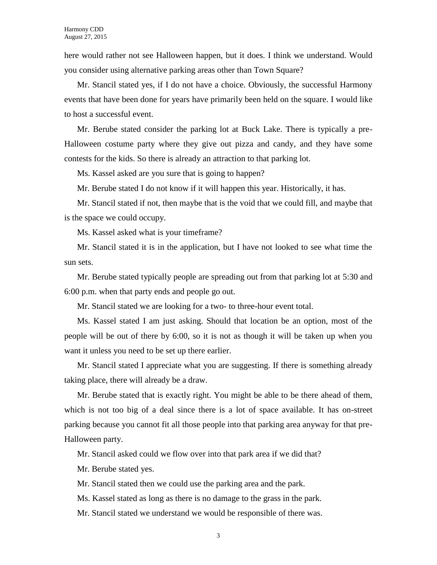here would rather not see Halloween happen, but it does. I think we understand. Would you consider using alternative parking areas other than Town Square?

Mr. Stancil stated yes, if I do not have a choice. Obviously, the successful Harmony events that have been done for years have primarily been held on the square. I would like to host a successful event.

Mr. Berube stated consider the parking lot at Buck Lake. There is typically a pre-Halloween costume party where they give out pizza and candy, and they have some contests for the kids. So there is already an attraction to that parking lot.

Ms. Kassel asked are you sure that is going to happen?

Mr. Berube stated I do not know if it will happen this year. Historically, it has.

Mr. Stancil stated if not, then maybe that is the void that we could fill, and maybe that is the space we could occupy.

Ms. Kassel asked what is your timeframe?

Mr. Stancil stated it is in the application, but I have not looked to see what time the sun sets.

Mr. Berube stated typically people are spreading out from that parking lot at 5:30 and 6:00 p.m. when that party ends and people go out.

Mr. Stancil stated we are looking for a two- to three-hour event total.

Ms. Kassel stated I am just asking. Should that location be an option, most of the people will be out of there by 6:00, so it is not as though it will be taken up when you want it unless you need to be set up there earlier.

Mr. Stancil stated I appreciate what you are suggesting. If there is something already taking place, there will already be a draw.

Mr. Berube stated that is exactly right. You might be able to be there ahead of them, which is not too big of a deal since there is a lot of space available. It has on-street parking because you cannot fit all those people into that parking area anyway for that pre-Halloween party.

Mr. Stancil asked could we flow over into that park area if we did that?

Mr. Berube stated yes.

Mr. Stancil stated then we could use the parking area and the park.

Ms. Kassel stated as long as there is no damage to the grass in the park.

Mr. Stancil stated we understand we would be responsible of there was.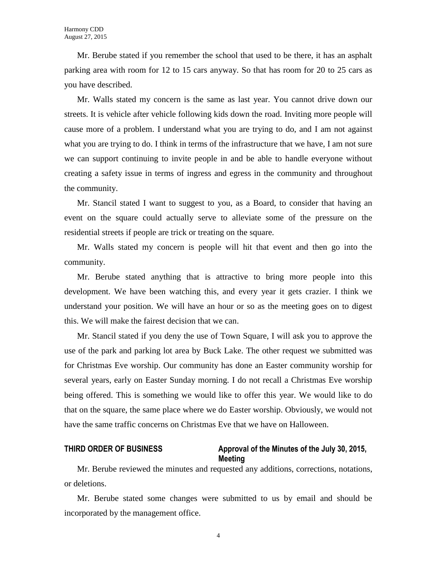Mr. Berube stated if you remember the school that used to be there, it has an asphalt parking area with room for 12 to 15 cars anyway. So that has room for 20 to 25 cars as you have described.

Mr. Walls stated my concern is the same as last year. You cannot drive down our streets. It is vehicle after vehicle following kids down the road. Inviting more people will cause more of a problem. I understand what you are trying to do, and I am not against what you are trying to do. I think in terms of the infrastructure that we have, I am not sure we can support continuing to invite people in and be able to handle everyone without creating a safety issue in terms of ingress and egress in the community and throughout the community.

Mr. Stancil stated I want to suggest to you, as a Board, to consider that having an event on the square could actually serve to alleviate some of the pressure on the residential streets if people are trick or treating on the square.

Mr. Walls stated my concern is people will hit that event and then go into the community.

Mr. Berube stated anything that is attractive to bring more people into this development. We have been watching this, and every year it gets crazier. I think we understand your position. We will have an hour or so as the meeting goes on to digest this. We will make the fairest decision that we can.

Mr. Stancil stated if you deny the use of Town Square, I will ask you to approve the use of the park and parking lot area by Buck Lake. The other request we submitted was for Christmas Eve worship. Our community has done an Easter community worship for several years, early on Easter Sunday morning. I do not recall a Christmas Eve worship being offered. This is something we would like to offer this year. We would like to do that on the square, the same place where we do Easter worship. Obviously, we would not have the same traffic concerns on Christmas Eve that we have on Halloween.

#### **THIRD ORDER OF BUSINESS Approval of the Minutes of the July 30, 2015, Meeting**

Mr. Berube reviewed the minutes and requested any additions, corrections, notations, or deletions.

Mr. Berube stated some changes were submitted to us by email and should be incorporated by the management office.

4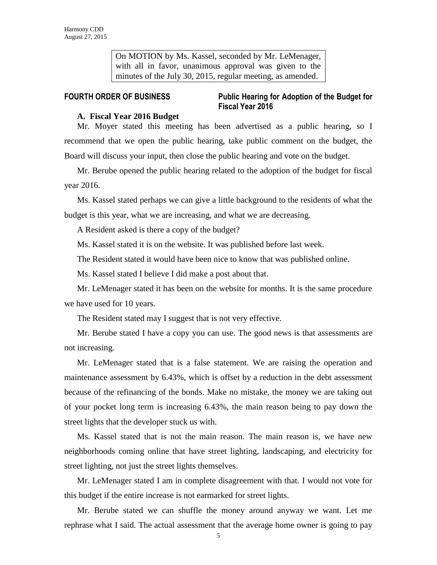On MOTION by Ms. Kassel, seconded by Mr. LeMenager, with all in favor, unanimous approval was given to the minutes of the July 30, 2015, regular meeting, as amended.

### **FOURTH ORDER OF BUSINESS Public Hearing for Adoption of the Budget for Fiscal Year 2016**

#### **A. Fiscal Year 2016 Budget**

Mr. Moyer stated this meeting has been advertised as a public hearing, so I recommend that we open the public hearing, take public comment on the budget, the Board will discuss your input, then close the public hearing and vote on the budget.

Mr. Berube opened the public hearing related to the adoption of the budget for fiscal year 2016.

Ms. Kassel stated perhaps we can give a little background to the residents of what the budget is this year, what we are increasing, and what we are decreasing.

A Resident asked is there a copy of the budget?

Ms. Kassel stated it is on the website. It was published before last week.

The Resident stated it would have been nice to know that was published online.

Ms. Kassel stated I believe I did make a post about that.

Mr. LeMenager stated it has been on the website for months. It is the same procedure we have used for 10 years.

The Resident stated may I suggest that is not very effective.

Mr. Berube stated I have a copy you can use. The good news is that assessments are not increasing.

Mr. LeMenager stated that is a false statement. We are raising the operation and maintenance assessment by 6.43%, which is offset by a reduction in the debt assessment because of the refinancing of the bonds. Make no mistake, the money we are taking out of your pocket long term is increasing 6.43%, the main reason being to pay down the street lights that the developer stuck us with.

Ms. Kassel stated that is not the main reason. The main reason is, we have new neighborhoods coming online that have street lighting, landscaping, and electricity for street lighting, not just the street lights themselves.

Mr. LeMenager stated I am in complete disagreement with that. I would not vote for this budget if the entire increase is not earmarked for street lights.

Mr. Berube stated we can shuffle the money around anyway we want. Let me rephrase what I said. The actual assessment that the average home owner is going to pay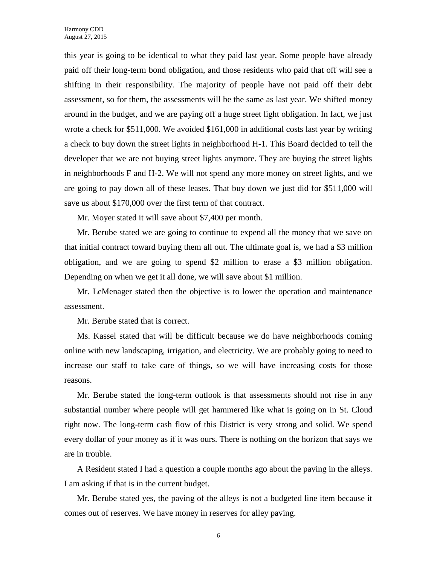this year is going to be identical to what they paid last year. Some people have already paid off their long-term bond obligation, and those residents who paid that off will see a shifting in their responsibility. The majority of people have not paid off their debt assessment, so for them, the assessments will be the same as last year. We shifted money around in the budget, and we are paying off a huge street light obligation. In fact, we just wrote a check for \$511,000. We avoided \$161,000 in additional costs last year by writing a check to buy down the street lights in neighborhood H-1. This Board decided to tell the developer that we are not buying street lights anymore. They are buying the street lights in neighborhoods F and H-2. We will not spend any more money on street lights, and we are going to pay down all of these leases. That buy down we just did for \$511,000 will save us about \$170,000 over the first term of that contract.

Mr. Moyer stated it will save about \$7,400 per month.

Mr. Berube stated we are going to continue to expend all the money that we save on that initial contract toward buying them all out. The ultimate goal is, we had a \$3 million obligation, and we are going to spend \$2 million to erase a \$3 million obligation. Depending on when we get it all done, we will save about \$1 million.

Mr. LeMenager stated then the objective is to lower the operation and maintenance assessment.

Mr. Berube stated that is correct.

Ms. Kassel stated that will be difficult because we do have neighborhoods coming online with new landscaping, irrigation, and electricity. We are probably going to need to increase our staff to take care of things, so we will have increasing costs for those reasons.

Mr. Berube stated the long-term outlook is that assessments should not rise in any substantial number where people will get hammered like what is going on in St. Cloud right now. The long-term cash flow of this District is very strong and solid. We spend every dollar of your money as if it was ours. There is nothing on the horizon that says we are in trouble.

A Resident stated I had a question a couple months ago about the paving in the alleys. I am asking if that is in the current budget.

Mr. Berube stated yes, the paving of the alleys is not a budgeted line item because it comes out of reserves. We have money in reserves for alley paving.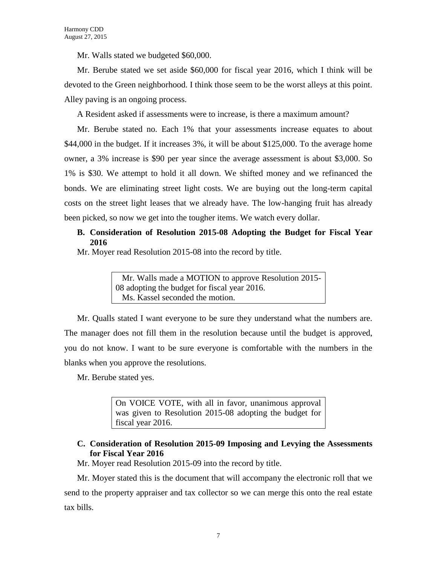Mr. Walls stated we budgeted \$60,000.

Mr. Berube stated we set aside \$60,000 for fiscal year 2016, which I think will be devoted to the Green neighborhood. I think those seem to be the worst alleys at this point. Alley paving is an ongoing process.

A Resident asked if assessments were to increase, is there a maximum amount?

Mr. Berube stated no. Each 1% that your assessments increase equates to about \$44,000 in the budget. If it increases 3%, it will be about \$125,000. To the average home owner, a 3% increase is \$90 per year since the average assessment is about \$3,000. So 1% is \$30. We attempt to hold it all down. We shifted money and we refinanced the bonds. We are eliminating street light costs. We are buying out the long-term capital costs on the street light leases that we already have. The low-hanging fruit has already been picked, so now we get into the tougher items. We watch every dollar.

### **B. Consideration of Resolution 2015-08 Adopting the Budget for Fiscal Year 2016**

Mr. Moyer read Resolution 2015-08 into the record by title.

 Mr. Walls made a MOTION to approve Resolution 2015- 08 adopting the budget for fiscal year 2016. Ms. Kassel seconded the motion.

Mr. Qualls stated I want everyone to be sure they understand what the numbers are. The manager does not fill them in the resolution because until the budget is approved, you do not know. I want to be sure everyone is comfortable with the numbers in the blanks when you approve the resolutions.

Mr. Berube stated yes.

On VOICE VOTE, with all in favor, unanimous approval was given to Resolution 2015-08 adopting the budget for fiscal year 2016.

# **C. Consideration of Resolution 2015-09 Imposing and Levying the Assessments for Fiscal Year 2016**

Mr. Moyer read Resolution 2015-09 into the record by title.

Mr. Moyer stated this is the document that will accompany the electronic roll that we send to the property appraiser and tax collector so we can merge this onto the real estate tax bills.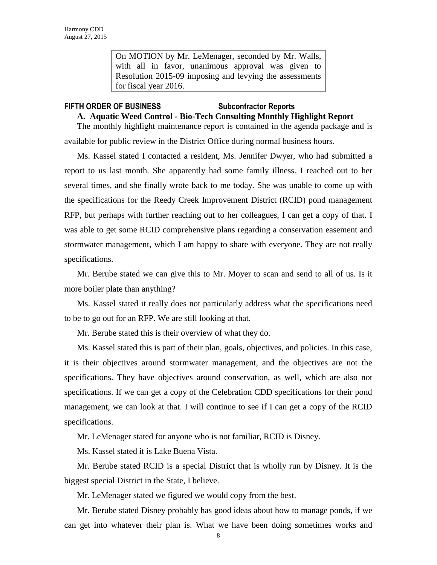On MOTION by Mr. LeMenager, seconded by Mr. Walls, with all in favor, unanimous approval was given to Resolution 2015-09 imposing and levying the assessments for fiscal year 2016.

#### **FIFTH ORDER OF BUSINESS Subcontractor Reports**

#### **A. Aquatic Weed Control - Bio-Tech Consulting Monthly Highlight Report**

The monthly highlight maintenance report is contained in the agenda package and is available for public review in the District Office during normal business hours.

Ms. Kassel stated I contacted a resident, Ms. Jennifer Dwyer, who had submitted a report to us last month. She apparently had some family illness. I reached out to her several times, and she finally wrote back to me today. She was unable to come up with the specifications for the Reedy Creek Improvement District (RCID) pond management RFP, but perhaps with further reaching out to her colleagues, I can get a copy of that. I was able to get some RCID comprehensive plans regarding a conservation easement and stormwater management, which I am happy to share with everyone. They are not really specifications.

Mr. Berube stated we can give this to Mr. Moyer to scan and send to all of us. Is it more boiler plate than anything?

Ms. Kassel stated it really does not particularly address what the specifications need to be to go out for an RFP. We are still looking at that.

Mr. Berube stated this is their overview of what they do.

Ms. Kassel stated this is part of their plan, goals, objectives, and policies. In this case, it is their objectives around stormwater management, and the objectives are not the specifications. They have objectives around conservation, as well, which are also not specifications. If we can get a copy of the Celebration CDD specifications for their pond management, we can look at that. I will continue to see if I can get a copy of the RCID specifications.

Mr. LeMenager stated for anyone who is not familiar, RCID is Disney.

Ms. Kassel stated it is Lake Buena Vista.

Mr. Berube stated RCID is a special District that is wholly run by Disney. It is the biggest special District in the State, I believe.

Mr. LeMenager stated we figured we would copy from the best.

Mr. Berube stated Disney probably has good ideas about how to manage ponds, if we can get into whatever their plan is. What we have been doing sometimes works and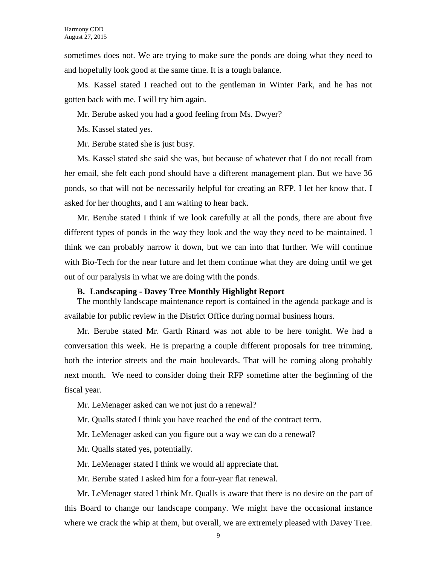sometimes does not. We are trying to make sure the ponds are doing what they need to and hopefully look good at the same time. It is a tough balance.

Ms. Kassel stated I reached out to the gentleman in Winter Park, and he has not gotten back with me. I will try him again.

Mr. Berube asked you had a good feeling from Ms. Dwyer?

Ms. Kassel stated yes.

Mr. Berube stated she is just busy.

Ms. Kassel stated she said she was, but because of whatever that I do not recall from her email, she felt each pond should have a different management plan. But we have 36 ponds, so that will not be necessarily helpful for creating an RFP. I let her know that. I asked for her thoughts, and I am waiting to hear back.

Mr. Berube stated I think if we look carefully at all the ponds, there are about five different types of ponds in the way they look and the way they need to be maintained. I think we can probably narrow it down, but we can into that further. We will continue with Bio-Tech for the near future and let them continue what they are doing until we get out of our paralysis in what we are doing with the ponds.

#### **B. Landscaping - Davey Tree Monthly Highlight Report**

The monthly landscape maintenance report is contained in the agenda package and is available for public review in the District Office during normal business hours.

Mr. Berube stated Mr. Garth Rinard was not able to be here tonight. We had a conversation this week. He is preparing a couple different proposals for tree trimming, both the interior streets and the main boulevards. That will be coming along probably next month. We need to consider doing their RFP sometime after the beginning of the fiscal year.

Mr. LeMenager asked can we not just do a renewal?

Mr. Qualls stated I think you have reached the end of the contract term.

Mr. LeMenager asked can you figure out a way we can do a renewal?

Mr. Qualls stated yes, potentially.

Mr. LeMenager stated I think we would all appreciate that.

Mr. Berube stated I asked him for a four-year flat renewal.

Mr. LeMenager stated I think Mr. Qualls is aware that there is no desire on the part of this Board to change our landscape company. We might have the occasional instance where we crack the whip at them, but overall, we are extremely pleased with Davey Tree.

9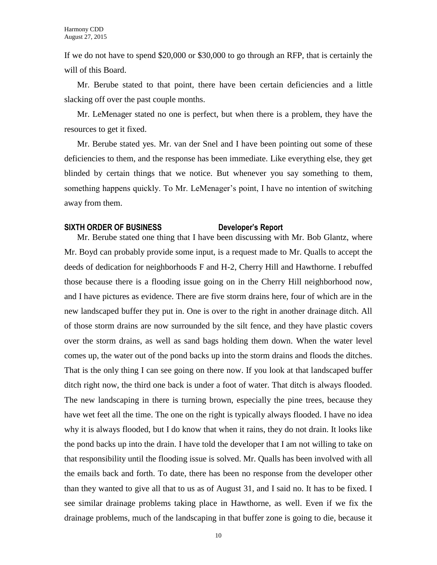If we do not have to spend \$20,000 or \$30,000 to go through an RFP, that is certainly the will of this Board.

Mr. Berube stated to that point, there have been certain deficiencies and a little slacking off over the past couple months.

Mr. LeMenager stated no one is perfect, but when there is a problem, they have the resources to get it fixed.

Mr. Berube stated yes. Mr. van der Snel and I have been pointing out some of these deficiencies to them, and the response has been immediate. Like everything else, they get blinded by certain things that we notice. But whenever you say something to them, something happens quickly. To Mr. LeMenager's point, I have no intention of switching away from them.

#### **SIXTH ORDER OF BUSINESS Developer's Report**

Mr. Berube stated one thing that I have been discussing with Mr. Bob Glantz, where Mr. Boyd can probably provide some input, is a request made to Mr. Qualls to accept the deeds of dedication for neighborhoods F and H-2, Cherry Hill and Hawthorne. I rebuffed those because there is a flooding issue going on in the Cherry Hill neighborhood now, and I have pictures as evidence. There are five storm drains here, four of which are in the new landscaped buffer they put in. One is over to the right in another drainage ditch. All of those storm drains are now surrounded by the silt fence, and they have plastic covers over the storm drains, as well as sand bags holding them down. When the water level comes up, the water out of the pond backs up into the storm drains and floods the ditches. That is the only thing I can see going on there now. If you look at that landscaped buffer ditch right now, the third one back is under a foot of water. That ditch is always flooded. The new landscaping in there is turning brown, especially the pine trees, because they have wet feet all the time. The one on the right is typically always flooded. I have no idea why it is always flooded, but I do know that when it rains, they do not drain. It looks like the pond backs up into the drain. I have told the developer that I am not willing to take on that responsibility until the flooding issue is solved. Mr. Qualls has been involved with all the emails back and forth. To date, there has been no response from the developer other than they wanted to give all that to us as of August 31, and I said no. It has to be fixed. I see similar drainage problems taking place in Hawthorne, as well. Even if we fix the drainage problems, much of the landscaping in that buffer zone is going to die, because it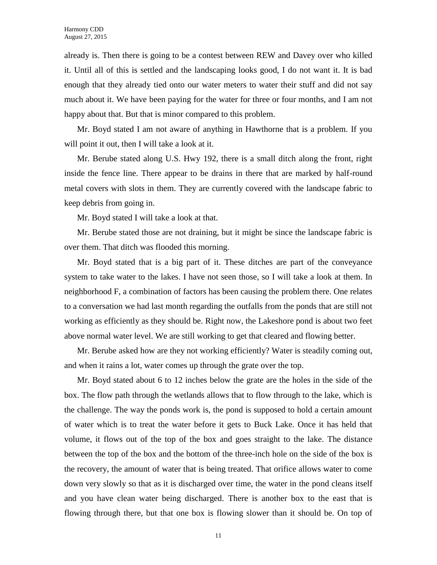already is. Then there is going to be a contest between REW and Davey over who killed it. Until all of this is settled and the landscaping looks good, I do not want it. It is bad enough that they already tied onto our water meters to water their stuff and did not say much about it. We have been paying for the water for three or four months, and I am not happy about that. But that is minor compared to this problem.

Mr. Boyd stated I am not aware of anything in Hawthorne that is a problem. If you will point it out, then I will take a look at it.

Mr. Berube stated along U.S. Hwy 192, there is a small ditch along the front, right inside the fence line. There appear to be drains in there that are marked by half-round metal covers with slots in them. They are currently covered with the landscape fabric to keep debris from going in.

Mr. Boyd stated I will take a look at that.

Mr. Berube stated those are not draining, but it might be since the landscape fabric is over them. That ditch was flooded this morning.

Mr. Boyd stated that is a big part of it. These ditches are part of the conveyance system to take water to the lakes. I have not seen those, so I will take a look at them. In neighborhood F, a combination of factors has been causing the problem there. One relates to a conversation we had last month regarding the outfalls from the ponds that are still not working as efficiently as they should be. Right now, the Lakeshore pond is about two feet above normal water level. We are still working to get that cleared and flowing better.

Mr. Berube asked how are they not working efficiently? Water is steadily coming out, and when it rains a lot, water comes up through the grate over the top.

Mr. Boyd stated about 6 to 12 inches below the grate are the holes in the side of the box. The flow path through the wetlands allows that to flow through to the lake, which is the challenge. The way the ponds work is, the pond is supposed to hold a certain amount of water which is to treat the water before it gets to Buck Lake. Once it has held that volume, it flows out of the top of the box and goes straight to the lake. The distance between the top of the box and the bottom of the three-inch hole on the side of the box is the recovery, the amount of water that is being treated. That orifice allows water to come down very slowly so that as it is discharged over time, the water in the pond cleans itself and you have clean water being discharged. There is another box to the east that is flowing through there, but that one box is flowing slower than it should be. On top of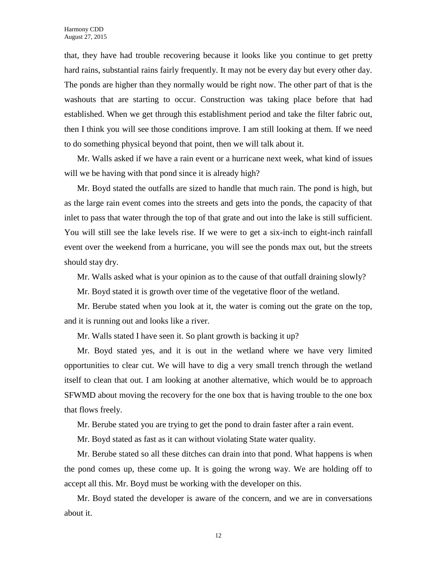that, they have had trouble recovering because it looks like you continue to get pretty hard rains, substantial rains fairly frequently. It may not be every day but every other day. The ponds are higher than they normally would be right now. The other part of that is the washouts that are starting to occur. Construction was taking place before that had established. When we get through this establishment period and take the filter fabric out, then I think you will see those conditions improve. I am still looking at them. If we need to do something physical beyond that point, then we will talk about it.

Mr. Walls asked if we have a rain event or a hurricane next week, what kind of issues will we be having with that pond since it is already high?

Mr. Boyd stated the outfalls are sized to handle that much rain. The pond is high, but as the large rain event comes into the streets and gets into the ponds, the capacity of that inlet to pass that water through the top of that grate and out into the lake is still sufficient. You will still see the lake levels rise. If we were to get a six-inch to eight-inch rainfall event over the weekend from a hurricane, you will see the ponds max out, but the streets should stay dry.

Mr. Walls asked what is your opinion as to the cause of that outfall draining slowly?

Mr. Boyd stated it is growth over time of the vegetative floor of the wetland.

Mr. Berube stated when you look at it, the water is coming out the grate on the top, and it is running out and looks like a river.

Mr. Walls stated I have seen it. So plant growth is backing it up?

Mr. Boyd stated yes, and it is out in the wetland where we have very limited opportunities to clear cut. We will have to dig a very small trench through the wetland itself to clean that out. I am looking at another alternative, which would be to approach SFWMD about moving the recovery for the one box that is having trouble to the one box that flows freely.

Mr. Berube stated you are trying to get the pond to drain faster after a rain event.

Mr. Boyd stated as fast as it can without violating State water quality.

Mr. Berube stated so all these ditches can drain into that pond. What happens is when the pond comes up, these come up. It is going the wrong way. We are holding off to accept all this. Mr. Boyd must be working with the developer on this.

Mr. Boyd stated the developer is aware of the concern, and we are in conversations about it.

12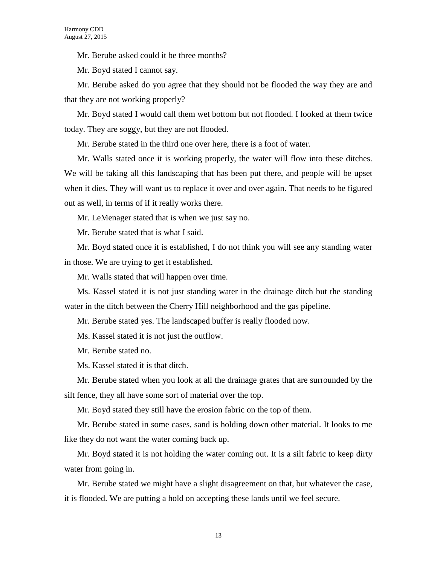Mr. Berube asked could it be three months?

Mr. Boyd stated I cannot say.

Mr. Berube asked do you agree that they should not be flooded the way they are and that they are not working properly?

Mr. Boyd stated I would call them wet bottom but not flooded. I looked at them twice today. They are soggy, but they are not flooded.

Mr. Berube stated in the third one over here, there is a foot of water.

Mr. Walls stated once it is working properly, the water will flow into these ditches. We will be taking all this landscaping that has been put there, and people will be upset when it dies. They will want us to replace it over and over again. That needs to be figured out as well, in terms of if it really works there.

Mr. LeMenager stated that is when we just say no.

Mr. Berube stated that is what I said.

Mr. Boyd stated once it is established, I do not think you will see any standing water in those. We are trying to get it established.

Mr. Walls stated that will happen over time.

Ms. Kassel stated it is not just standing water in the drainage ditch but the standing water in the ditch between the Cherry Hill neighborhood and the gas pipeline.

Mr. Berube stated yes. The landscaped buffer is really flooded now.

Ms. Kassel stated it is not just the outflow.

Mr. Berube stated no.

Ms. Kassel stated it is that ditch.

Mr. Berube stated when you look at all the drainage grates that are surrounded by the silt fence, they all have some sort of material over the top.

Mr. Boyd stated they still have the erosion fabric on the top of them.

Mr. Berube stated in some cases, sand is holding down other material. It looks to me like they do not want the water coming back up.

Mr. Boyd stated it is not holding the water coming out. It is a silt fabric to keep dirty water from going in.

Mr. Berube stated we might have a slight disagreement on that, but whatever the case, it is flooded. We are putting a hold on accepting these lands until we feel secure.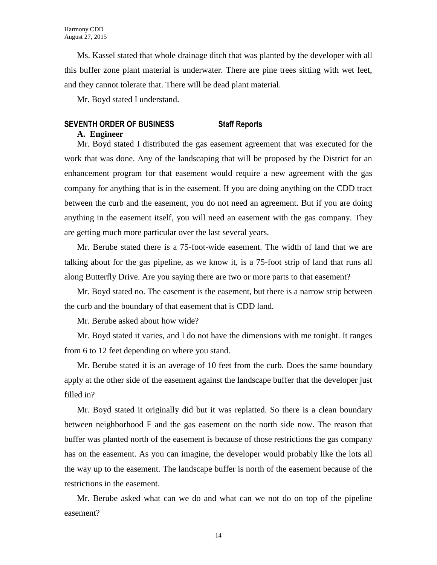Ms. Kassel stated that whole drainage ditch that was planted by the developer with all this buffer zone plant material is underwater. There are pine trees sitting with wet feet, and they cannot tolerate that. There will be dead plant material.

Mr. Boyd stated I understand.

# **SEVENTH ORDER OF BUSINESS Staff Reports**

#### **A. Engineer**

Mr. Boyd stated I distributed the gas easement agreement that was executed for the work that was done. Any of the landscaping that will be proposed by the District for an enhancement program for that easement would require a new agreement with the gas company for anything that is in the easement. If you are doing anything on the CDD tract between the curb and the easement, you do not need an agreement. But if you are doing anything in the easement itself, you will need an easement with the gas company. They are getting much more particular over the last several years.

Mr. Berube stated there is a 75-foot-wide easement. The width of land that we are talking about for the gas pipeline, as we know it, is a 75-foot strip of land that runs all along Butterfly Drive. Are you saying there are two or more parts to that easement?

Mr. Boyd stated no. The easement is the easement, but there is a narrow strip between the curb and the boundary of that easement that is CDD land.

Mr. Berube asked about how wide?

Mr. Boyd stated it varies, and I do not have the dimensions with me tonight. It ranges from 6 to 12 feet depending on where you stand.

Mr. Berube stated it is an average of 10 feet from the curb. Does the same boundary apply at the other side of the easement against the landscape buffer that the developer just filled in?

Mr. Boyd stated it originally did but it was replatted. So there is a clean boundary between neighborhood F and the gas easement on the north side now. The reason that buffer was planted north of the easement is because of those restrictions the gas company has on the easement. As you can imagine, the developer would probably like the lots all the way up to the easement. The landscape buffer is north of the easement because of the restrictions in the easement.

Mr. Berube asked what can we do and what can we not do on top of the pipeline easement?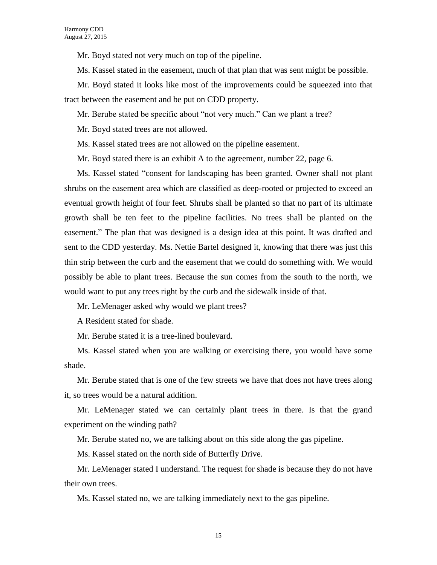Mr. Boyd stated not very much on top of the pipeline.

Ms. Kassel stated in the easement, much of that plan that was sent might be possible.

Mr. Boyd stated it looks like most of the improvements could be squeezed into that tract between the easement and be put on CDD property.

Mr. Berube stated be specific about "not very much." Can we plant a tree?

Mr. Boyd stated trees are not allowed.

Ms. Kassel stated trees are not allowed on the pipeline easement.

Mr. Boyd stated there is an exhibit A to the agreement, number 22, page 6.

Ms. Kassel stated "consent for landscaping has been granted. Owner shall not plant shrubs on the easement area which are classified as deep-rooted or projected to exceed an eventual growth height of four feet. Shrubs shall be planted so that no part of its ultimate growth shall be ten feet to the pipeline facilities. No trees shall be planted on the easement." The plan that was designed is a design idea at this point. It was drafted and sent to the CDD yesterday. Ms. Nettie Bartel designed it, knowing that there was just this thin strip between the curb and the easement that we could do something with. We would possibly be able to plant trees. Because the sun comes from the south to the north, we would want to put any trees right by the curb and the sidewalk inside of that.

Mr. LeMenager asked why would we plant trees?

A Resident stated for shade.

Mr. Berube stated it is a tree-lined boulevard.

Ms. Kassel stated when you are walking or exercising there, you would have some shade.

Mr. Berube stated that is one of the few streets we have that does not have trees along it, so trees would be a natural addition.

Mr. LeMenager stated we can certainly plant trees in there. Is that the grand experiment on the winding path?

Mr. Berube stated no, we are talking about on this side along the gas pipeline.

Ms. Kassel stated on the north side of Butterfly Drive.

Mr. LeMenager stated I understand. The request for shade is because they do not have their own trees.

Ms. Kassel stated no, we are talking immediately next to the gas pipeline.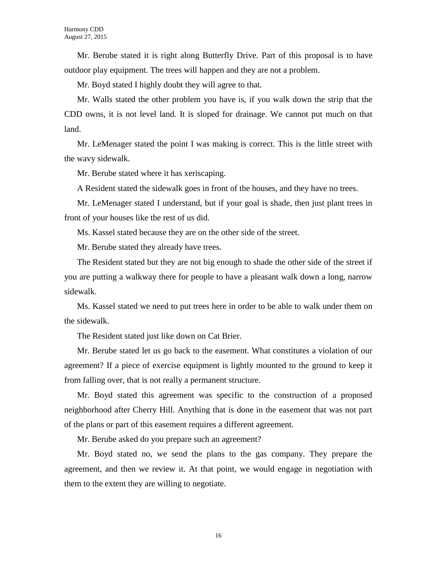Mr. Berube stated it is right along Butterfly Drive. Part of this proposal is to have outdoor play equipment. The trees will happen and they are not a problem.

Mr. Boyd stated I highly doubt they will agree to that.

Mr. Walls stated the other problem you have is, if you walk down the strip that the CDD owns, it is not level land. It is sloped for drainage. We cannot put much on that land.

Mr. LeMenager stated the point I was making is correct. This is the little street with the wavy sidewalk.

Mr. Berube stated where it has xeriscaping.

A Resident stated the sidewalk goes in front of the houses, and they have no trees.

Mr. LeMenager stated I understand, but if your goal is shade, then just plant trees in front of your houses like the rest of us did.

Ms. Kassel stated because they are on the other side of the street.

Mr. Berube stated they already have trees.

The Resident stated but they are not big enough to shade the other side of the street if you are putting a walkway there for people to have a pleasant walk down a long, narrow sidewalk.

Ms. Kassel stated we need to put trees here in order to be able to walk under them on the sidewalk.

The Resident stated just like down on Cat Brier.

Mr. Berube stated let us go back to the easement. What constitutes a violation of our agreement? If a piece of exercise equipment is lightly mounted to the ground to keep it from falling over, that is not really a permanent structure.

Mr. Boyd stated this agreement was specific to the construction of a proposed neighborhood after Cherry Hill. Anything that is done in the easement that was not part of the plans or part of this easement requires a different agreement.

Mr. Berube asked do you prepare such an agreement?

Mr. Boyd stated no, we send the plans to the gas company. They prepare the agreement, and then we review it. At that point, we would engage in negotiation with them to the extent they are willing to negotiate.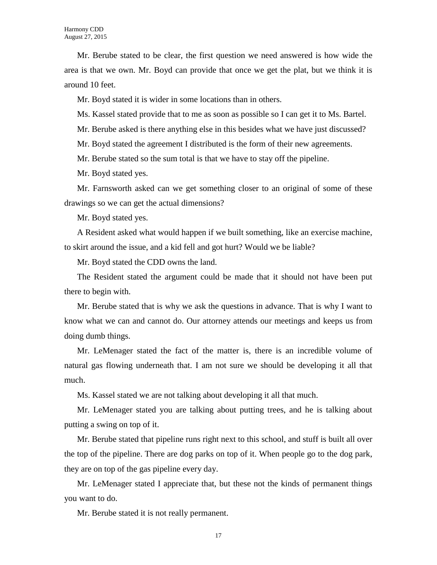Mr. Berube stated to be clear, the first question we need answered is how wide the area is that we own. Mr. Boyd can provide that once we get the plat, but we think it is around 10 feet.

Mr. Boyd stated it is wider in some locations than in others.

Ms. Kassel stated provide that to me as soon as possible so I can get it to Ms. Bartel.

Mr. Berube asked is there anything else in this besides what we have just discussed?

Mr. Boyd stated the agreement I distributed is the form of their new agreements.

Mr. Berube stated so the sum total is that we have to stay off the pipeline.

Mr. Boyd stated yes.

Mr. Farnsworth asked can we get something closer to an original of some of these drawings so we can get the actual dimensions?

Mr. Boyd stated yes.

A Resident asked what would happen if we built something, like an exercise machine, to skirt around the issue, and a kid fell and got hurt? Would we be liable?

Mr. Boyd stated the CDD owns the land.

The Resident stated the argument could be made that it should not have been put there to begin with.

Mr. Berube stated that is why we ask the questions in advance. That is why I want to know what we can and cannot do. Our attorney attends our meetings and keeps us from doing dumb things.

Mr. LeMenager stated the fact of the matter is, there is an incredible volume of natural gas flowing underneath that. I am not sure we should be developing it all that much.

Ms. Kassel stated we are not talking about developing it all that much.

Mr. LeMenager stated you are talking about putting trees, and he is talking about putting a swing on top of it.

Mr. Berube stated that pipeline runs right next to this school, and stuff is built all over the top of the pipeline. There are dog parks on top of it. When people go to the dog park, they are on top of the gas pipeline every day.

Mr. LeMenager stated I appreciate that, but these not the kinds of permanent things you want to do.

Mr. Berube stated it is not really permanent.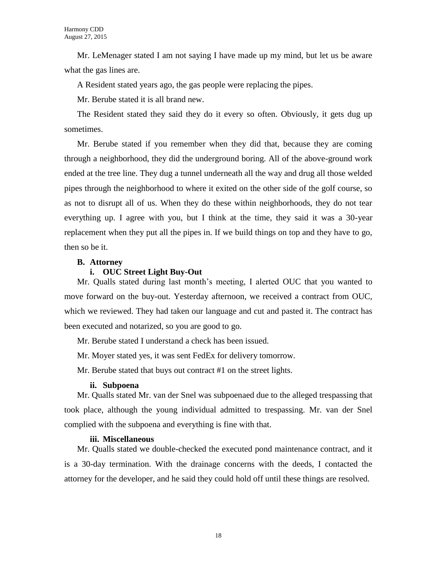Mr. LeMenager stated I am not saying I have made up my mind, but let us be aware what the gas lines are.

A Resident stated years ago, the gas people were replacing the pipes.

Mr. Berube stated it is all brand new.

The Resident stated they said they do it every so often. Obviously, it gets dug up sometimes.

Mr. Berube stated if you remember when they did that, because they are coming through a neighborhood, they did the underground boring. All of the above-ground work ended at the tree line. They dug a tunnel underneath all the way and drug all those welded pipes through the neighborhood to where it exited on the other side of the golf course, so as not to disrupt all of us. When they do these within neighborhoods, they do not tear everything up. I agree with you, but I think at the time, they said it was a 30-year replacement when they put all the pipes in. If we build things on top and they have to go, then so be it.

#### **B. Attorney**

#### **i. OUC Street Light Buy-Out**

Mr. Qualls stated during last month's meeting, I alerted OUC that you wanted to move forward on the buy-out. Yesterday afternoon, we received a contract from OUC, which we reviewed. They had taken our language and cut and pasted it. The contract has been executed and notarized, so you are good to go.

Mr. Berube stated I understand a check has been issued.

Mr. Moyer stated yes, it was sent FedEx for delivery tomorrow.

Mr. Berube stated that buys out contract #1 on the street lights.

#### **ii. Subpoena**

Mr. Qualls stated Mr. van der Snel was subpoenaed due to the alleged trespassing that took place, although the young individual admitted to trespassing. Mr. van der Snel complied with the subpoena and everything is fine with that.

#### **iii. Miscellaneous**

Mr. Qualls stated we double-checked the executed pond maintenance contract, and it is a 30-day termination. With the drainage concerns with the deeds, I contacted the attorney for the developer, and he said they could hold off until these things are resolved.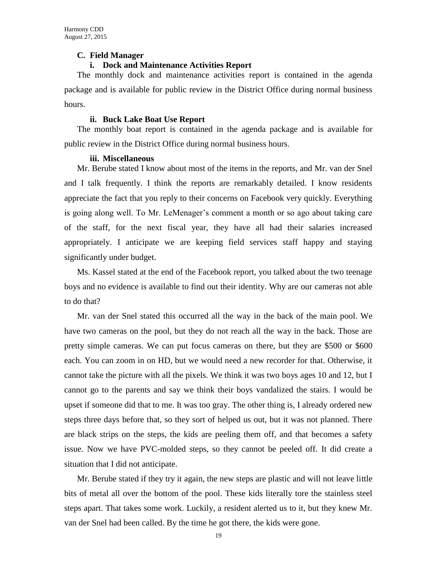#### **C. Field Manager**

#### **i. Dock and Maintenance Activities Report**

The monthly dock and maintenance activities report is contained in the agenda package and is available for public review in the District Office during normal business hours.

#### **ii. Buck Lake Boat Use Report**

The monthly boat report is contained in the agenda package and is available for public review in the District Office during normal business hours.

#### **iii. Miscellaneous**

Mr. Berube stated I know about most of the items in the reports, and Mr. van der Snel and I talk frequently. I think the reports are remarkably detailed. I know residents appreciate the fact that you reply to their concerns on Facebook very quickly. Everything is going along well. To Mr. LeMenager's comment a month or so ago about taking care of the staff, for the next fiscal year, they have all had their salaries increased appropriately. I anticipate we are keeping field services staff happy and staying significantly under budget.

Ms. Kassel stated at the end of the Facebook report, you talked about the two teenage boys and no evidence is available to find out their identity. Why are our cameras not able to do that?

Mr. van der Snel stated this occurred all the way in the back of the main pool. We have two cameras on the pool, but they do not reach all the way in the back. Those are pretty simple cameras. We can put focus cameras on there, but they are \$500 or \$600 each. You can zoom in on HD, but we would need a new recorder for that. Otherwise, it cannot take the picture with all the pixels. We think it was two boys ages 10 and 12, but I cannot go to the parents and say we think their boys vandalized the stairs. I would be upset if someone did that to me. It was too gray. The other thing is, I already ordered new steps three days before that, so they sort of helped us out, but it was not planned. There are black strips on the steps, the kids are peeling them off, and that becomes a safety issue. Now we have PVC-molded steps, so they cannot be peeled off. It did create a situation that I did not anticipate.

Mr. Berube stated if they try it again, the new steps are plastic and will not leave little bits of metal all over the bottom of the pool. These kids literally tore the stainless steel steps apart. That takes some work. Luckily, a resident alerted us to it, but they knew Mr. van der Snel had been called. By the time he got there, the kids were gone.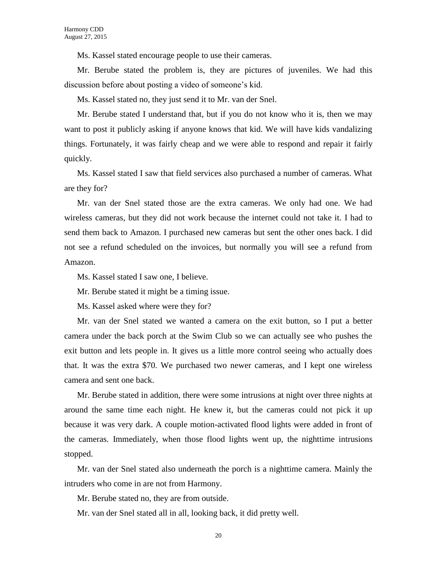Ms. Kassel stated encourage people to use their cameras.

Mr. Berube stated the problem is, they are pictures of juveniles. We had this discussion before about posting a video of someone's kid.

Ms. Kassel stated no, they just send it to Mr. van der Snel.

Mr. Berube stated I understand that, but if you do not know who it is, then we may want to post it publicly asking if anyone knows that kid. We will have kids vandalizing things. Fortunately, it was fairly cheap and we were able to respond and repair it fairly quickly.

Ms. Kassel stated I saw that field services also purchased a number of cameras. What are they for?

Mr. van der Snel stated those are the extra cameras. We only had one. We had wireless cameras, but they did not work because the internet could not take it. I had to send them back to Amazon. I purchased new cameras but sent the other ones back. I did not see a refund scheduled on the invoices, but normally you will see a refund from Amazon.

Ms. Kassel stated I saw one, I believe.

Mr. Berube stated it might be a timing issue.

Ms. Kassel asked where were they for?

Mr. van der Snel stated we wanted a camera on the exit button, so I put a better camera under the back porch at the Swim Club so we can actually see who pushes the exit button and lets people in. It gives us a little more control seeing who actually does that. It was the extra \$70. We purchased two newer cameras, and I kept one wireless camera and sent one back.

Mr. Berube stated in addition, there were some intrusions at night over three nights at around the same time each night. He knew it, but the cameras could not pick it up because it was very dark. A couple motion-activated flood lights were added in front of the cameras. Immediately, when those flood lights went up, the nighttime intrusions stopped.

Mr. van der Snel stated also underneath the porch is a nighttime camera. Mainly the intruders who come in are not from Harmony.

Mr. Berube stated no, they are from outside.

Mr. van der Snel stated all in all, looking back, it did pretty well.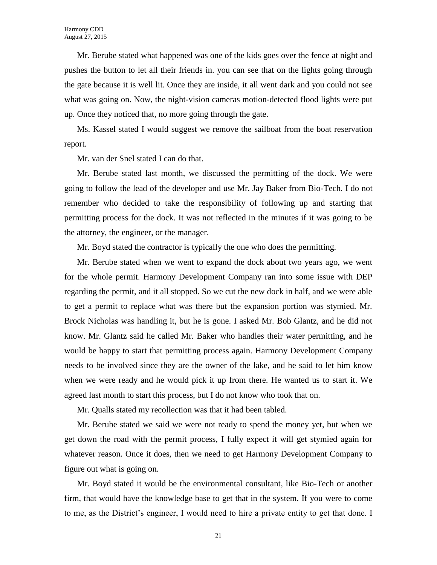Mr. Berube stated what happened was one of the kids goes over the fence at night and pushes the button to let all their friends in. you can see that on the lights going through the gate because it is well lit. Once they are inside, it all went dark and you could not see what was going on. Now, the night-vision cameras motion-detected flood lights were put up. Once they noticed that, no more going through the gate.

Ms. Kassel stated I would suggest we remove the sailboat from the boat reservation report.

Mr. van der Snel stated I can do that.

Mr. Berube stated last month, we discussed the permitting of the dock. We were going to follow the lead of the developer and use Mr. Jay Baker from Bio-Tech. I do not remember who decided to take the responsibility of following up and starting that permitting process for the dock. It was not reflected in the minutes if it was going to be the attorney, the engineer, or the manager.

Mr. Boyd stated the contractor is typically the one who does the permitting.

Mr. Berube stated when we went to expand the dock about two years ago, we went for the whole permit. Harmony Development Company ran into some issue with DEP regarding the permit, and it all stopped. So we cut the new dock in half, and we were able to get a permit to replace what was there but the expansion portion was stymied. Mr. Brock Nicholas was handling it, but he is gone. I asked Mr. Bob Glantz, and he did not know. Mr. Glantz said he called Mr. Baker who handles their water permitting, and he would be happy to start that permitting process again. Harmony Development Company needs to be involved since they are the owner of the lake, and he said to let him know when we were ready and he would pick it up from there. He wanted us to start it. We agreed last month to start this process, but I do not know who took that on.

Mr. Qualls stated my recollection was that it had been tabled.

Mr. Berube stated we said we were not ready to spend the money yet, but when we get down the road with the permit process, I fully expect it will get stymied again for whatever reason. Once it does, then we need to get Harmony Development Company to figure out what is going on.

Mr. Boyd stated it would be the environmental consultant, like Bio-Tech or another firm, that would have the knowledge base to get that in the system. If you were to come to me, as the District's engineer, I would need to hire a private entity to get that done. I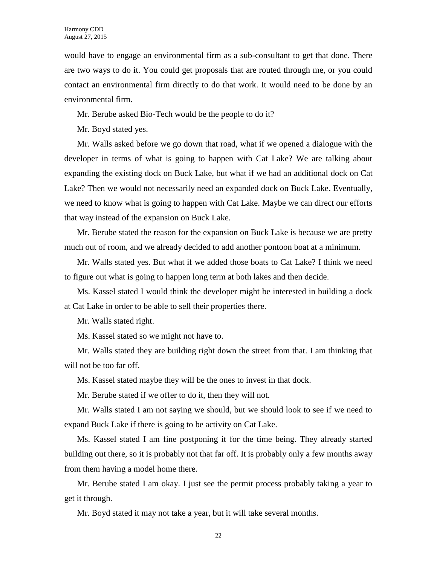would have to engage an environmental firm as a sub-consultant to get that done. There are two ways to do it. You could get proposals that are routed through me, or you could contact an environmental firm directly to do that work. It would need to be done by an environmental firm.

Mr. Berube asked Bio-Tech would be the people to do it?

Mr. Boyd stated yes.

Mr. Walls asked before we go down that road, what if we opened a dialogue with the developer in terms of what is going to happen with Cat Lake? We are talking about expanding the existing dock on Buck Lake, but what if we had an additional dock on Cat Lake? Then we would not necessarily need an expanded dock on Buck Lake. Eventually, we need to know what is going to happen with Cat Lake. Maybe we can direct our efforts that way instead of the expansion on Buck Lake.

Mr. Berube stated the reason for the expansion on Buck Lake is because we are pretty much out of room, and we already decided to add another pontoon boat at a minimum.

Mr. Walls stated yes. But what if we added those boats to Cat Lake? I think we need to figure out what is going to happen long term at both lakes and then decide.

Ms. Kassel stated I would think the developer might be interested in building a dock at Cat Lake in order to be able to sell their properties there.

Mr. Walls stated right.

Ms. Kassel stated so we might not have to.

Mr. Walls stated they are building right down the street from that. I am thinking that will not be too far off.

Ms. Kassel stated maybe they will be the ones to invest in that dock.

Mr. Berube stated if we offer to do it, then they will not.

Mr. Walls stated I am not saying we should, but we should look to see if we need to expand Buck Lake if there is going to be activity on Cat Lake.

Ms. Kassel stated I am fine postponing it for the time being. They already started building out there, so it is probably not that far off. It is probably only a few months away from them having a model home there.

Mr. Berube stated I am okay. I just see the permit process probably taking a year to get it through.

Mr. Boyd stated it may not take a year, but it will take several months.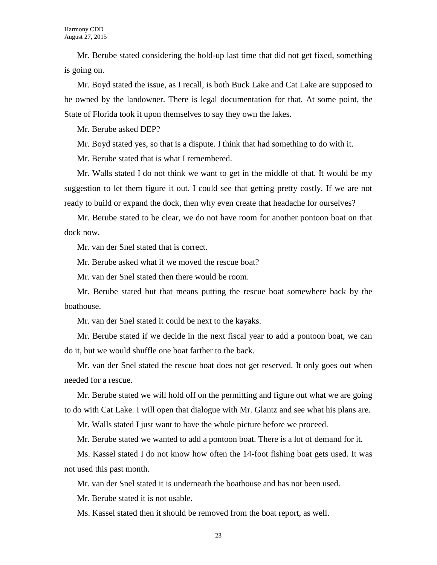Mr. Berube stated considering the hold-up last time that did not get fixed, something is going on.

Mr. Boyd stated the issue, as I recall, is both Buck Lake and Cat Lake are supposed to be owned by the landowner. There is legal documentation for that. At some point, the State of Florida took it upon themselves to say they own the lakes.

Mr. Berube asked DEP?

Mr. Boyd stated yes, so that is a dispute. I think that had something to do with it.

Mr. Berube stated that is what I remembered.

Mr. Walls stated I do not think we want to get in the middle of that. It would be my suggestion to let them figure it out. I could see that getting pretty costly. If we are not ready to build or expand the dock, then why even create that headache for ourselves?

Mr. Berube stated to be clear, we do not have room for another pontoon boat on that dock now.

Mr. van der Snel stated that is correct.

Mr. Berube asked what if we moved the rescue boat?

Mr. van der Snel stated then there would be room.

Mr. Berube stated but that means putting the rescue boat somewhere back by the boathouse.

Mr. van der Snel stated it could be next to the kayaks.

Mr. Berube stated if we decide in the next fiscal year to add a pontoon boat, we can do it, but we would shuffle one boat farther to the back.

Mr. van der Snel stated the rescue boat does not get reserved. It only goes out when needed for a rescue.

Mr. Berube stated we will hold off on the permitting and figure out what we are going to do with Cat Lake. I will open that dialogue with Mr. Glantz and see what his plans are.

Mr. Walls stated I just want to have the whole picture before we proceed.

Mr. Berube stated we wanted to add a pontoon boat. There is a lot of demand for it.

Ms. Kassel stated I do not know how often the 14-foot fishing boat gets used. It was not used this past month.

Mr. van der Snel stated it is underneath the boathouse and has not been used.

Mr. Berube stated it is not usable.

Ms. Kassel stated then it should be removed from the boat report, as well.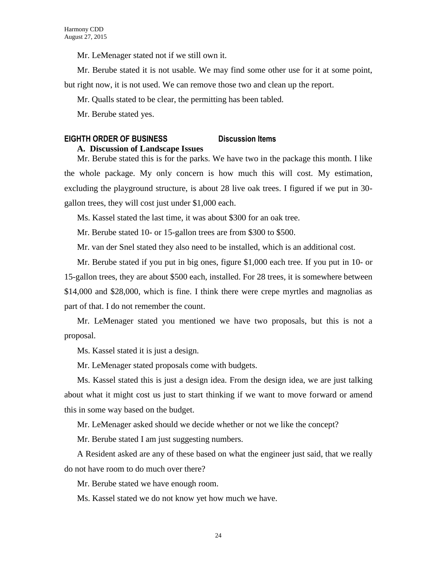Mr. LeMenager stated not if we still own it.

Mr. Berube stated it is not usable. We may find some other use for it at some point,

but right now, it is not used. We can remove those two and clean up the report.

Mr. Qualls stated to be clear, the permitting has been tabled.

Mr. Berube stated yes.

### **EIGHTH ORDER OF BUSINESS Discussion Items**

#### **A. Discussion of Landscape Issues**

Mr. Berube stated this is for the parks. We have two in the package this month. I like the whole package. My only concern is how much this will cost. My estimation, excluding the playground structure, is about 28 live oak trees. I figured if we put in 30 gallon trees, they will cost just under \$1,000 each.

Ms. Kassel stated the last time, it was about \$300 for an oak tree.

Mr. Berube stated 10- or 15-gallon trees are from \$300 to \$500.

Mr. van der Snel stated they also need to be installed, which is an additional cost.

Mr. Berube stated if you put in big ones, figure \$1,000 each tree. If you put in 10- or 15-gallon trees, they are about \$500 each, installed. For 28 trees, it is somewhere between \$14,000 and \$28,000, which is fine. I think there were crepe myrtles and magnolias as part of that. I do not remember the count.

Mr. LeMenager stated you mentioned we have two proposals, but this is not a proposal.

Ms. Kassel stated it is just a design.

Mr. LeMenager stated proposals come with budgets.

Ms. Kassel stated this is just a design idea. From the design idea, we are just talking about what it might cost us just to start thinking if we want to move forward or amend this in some way based on the budget.

Mr. LeMenager asked should we decide whether or not we like the concept?

Mr. Berube stated I am just suggesting numbers.

A Resident asked are any of these based on what the engineer just said, that we really do not have room to do much over there?

Mr. Berube stated we have enough room.

Ms. Kassel stated we do not know yet how much we have.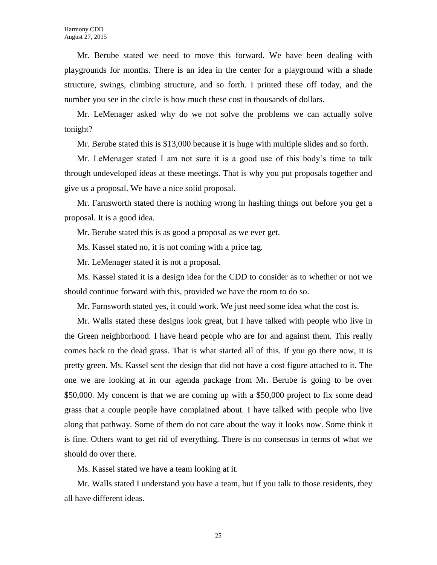Mr. Berube stated we need to move this forward. We have been dealing with playgrounds for months. There is an idea in the center for a playground with a shade structure, swings, climbing structure, and so forth. I printed these off today, and the number you see in the circle is how much these cost in thousands of dollars.

Mr. LeMenager asked why do we not solve the problems we can actually solve tonight?

Mr. Berube stated this is \$13,000 because it is huge with multiple slides and so forth.

Mr. LeMenager stated I am not sure it is a good use of this body's time to talk through undeveloped ideas at these meetings. That is why you put proposals together and give us a proposal. We have a nice solid proposal.

Mr. Farnsworth stated there is nothing wrong in hashing things out before you get a proposal. It is a good idea.

Mr. Berube stated this is as good a proposal as we ever get.

Ms. Kassel stated no, it is not coming with a price tag.

Mr. LeMenager stated it is not a proposal.

Ms. Kassel stated it is a design idea for the CDD to consider as to whether or not we should continue forward with this, provided we have the room to do so.

Mr. Farnsworth stated yes, it could work. We just need some idea what the cost is.

Mr. Walls stated these designs look great, but I have talked with people who live in the Green neighborhood. I have heard people who are for and against them. This really comes back to the dead grass. That is what started all of this. If you go there now, it is pretty green. Ms. Kassel sent the design that did not have a cost figure attached to it. The one we are looking at in our agenda package from Mr. Berube is going to be over \$50,000. My concern is that we are coming up with a \$50,000 project to fix some dead grass that a couple people have complained about. I have talked with people who live along that pathway. Some of them do not care about the way it looks now. Some think it is fine. Others want to get rid of everything. There is no consensus in terms of what we should do over there.

Ms. Kassel stated we have a team looking at it.

Mr. Walls stated I understand you have a team, but if you talk to those residents, they all have different ideas.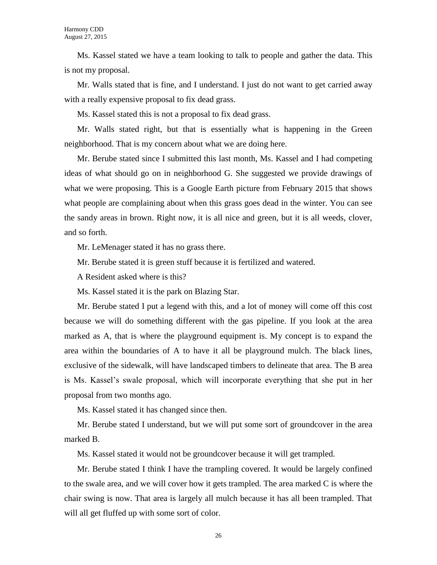Ms. Kassel stated we have a team looking to talk to people and gather the data. This is not my proposal.

Mr. Walls stated that is fine, and I understand. I just do not want to get carried away with a really expensive proposal to fix dead grass.

Ms. Kassel stated this is not a proposal to fix dead grass.

Mr. Walls stated right, but that is essentially what is happening in the Green neighborhood. That is my concern about what we are doing here.

Mr. Berube stated since I submitted this last month, Ms. Kassel and I had competing ideas of what should go on in neighborhood G. She suggested we provide drawings of what we were proposing. This is a Google Earth picture from February 2015 that shows what people are complaining about when this grass goes dead in the winter. You can see the sandy areas in brown. Right now, it is all nice and green, but it is all weeds, clover, and so forth.

Mr. LeMenager stated it has no grass there.

Mr. Berube stated it is green stuff because it is fertilized and watered.

A Resident asked where is this?

Ms. Kassel stated it is the park on Blazing Star.

Mr. Berube stated I put a legend with this, and a lot of money will come off this cost because we will do something different with the gas pipeline. If you look at the area marked as A, that is where the playground equipment is. My concept is to expand the area within the boundaries of A to have it all be playground mulch. The black lines, exclusive of the sidewalk, will have landscaped timbers to delineate that area. The B area is Ms. Kassel's swale proposal, which will incorporate everything that she put in her proposal from two months ago.

Ms. Kassel stated it has changed since then.

Mr. Berube stated I understand, but we will put some sort of groundcover in the area marked B.

Ms. Kassel stated it would not be groundcover because it will get trampled.

Mr. Berube stated I think I have the trampling covered. It would be largely confined to the swale area, and we will cover how it gets trampled. The area marked C is where the chair swing is now. That area is largely all mulch because it has all been trampled. That will all get fluffed up with some sort of color.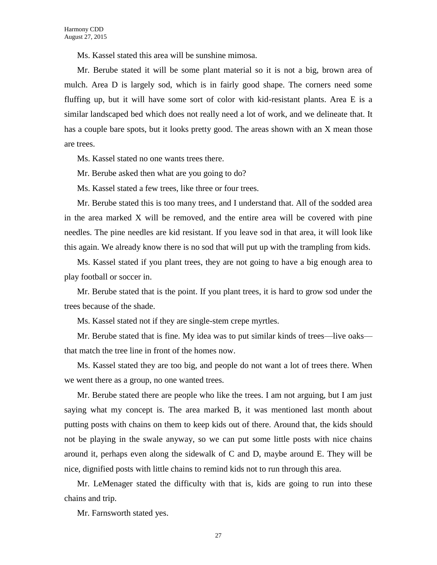Ms. Kassel stated this area will be sunshine mimosa.

Mr. Berube stated it will be some plant material so it is not a big, brown area of mulch. Area D is largely sod, which is in fairly good shape. The corners need some fluffing up, but it will have some sort of color with kid-resistant plants. Area E is a similar landscaped bed which does not really need a lot of work, and we delineate that. It has a couple bare spots, but it looks pretty good. The areas shown with an X mean those are trees.

Ms. Kassel stated no one wants trees there.

Mr. Berube asked then what are you going to do?

Ms. Kassel stated a few trees, like three or four trees.

Mr. Berube stated this is too many trees, and I understand that. All of the sodded area in the area marked X will be removed, and the entire area will be covered with pine needles. The pine needles are kid resistant. If you leave sod in that area, it will look like this again. We already know there is no sod that will put up with the trampling from kids.

Ms. Kassel stated if you plant trees, they are not going to have a big enough area to play football or soccer in.

Mr. Berube stated that is the point. If you plant trees, it is hard to grow sod under the trees because of the shade.

Ms. Kassel stated not if they are single-stem crepe myrtles.

Mr. Berube stated that is fine. My idea was to put similar kinds of trees—live oaks that match the tree line in front of the homes now.

Ms. Kassel stated they are too big, and people do not want a lot of trees there. When we went there as a group, no one wanted trees.

Mr. Berube stated there are people who like the trees. I am not arguing, but I am just saying what my concept is. The area marked B, it was mentioned last month about putting posts with chains on them to keep kids out of there. Around that, the kids should not be playing in the swale anyway, so we can put some little posts with nice chains around it, perhaps even along the sidewalk of C and D, maybe around E. They will be nice, dignified posts with little chains to remind kids not to run through this area.

Mr. LeMenager stated the difficulty with that is, kids are going to run into these chains and trip.

Mr. Farnsworth stated yes.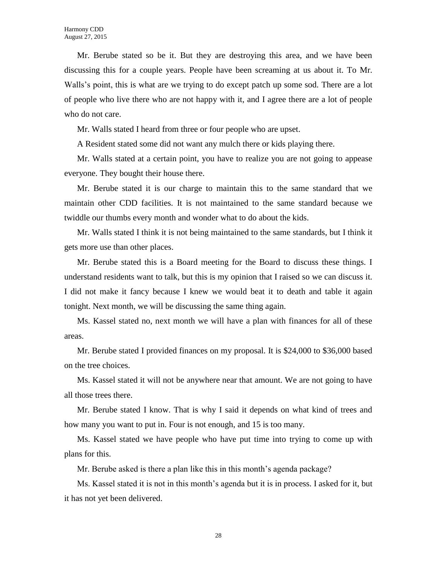Mr. Berube stated so be it. But they are destroying this area, and we have been discussing this for a couple years. People have been screaming at us about it. To Mr. Walls's point, this is what are we trying to do except patch up some sod. There are a lot of people who live there who are not happy with it, and I agree there are a lot of people who do not care.

Mr. Walls stated I heard from three or four people who are upset.

A Resident stated some did not want any mulch there or kids playing there.

Mr. Walls stated at a certain point, you have to realize you are not going to appease everyone. They bought their house there.

Mr. Berube stated it is our charge to maintain this to the same standard that we maintain other CDD facilities. It is not maintained to the same standard because we twiddle our thumbs every month and wonder what to do about the kids.

Mr. Walls stated I think it is not being maintained to the same standards, but I think it gets more use than other places.

Mr. Berube stated this is a Board meeting for the Board to discuss these things. I understand residents want to talk, but this is my opinion that I raised so we can discuss it. I did not make it fancy because I knew we would beat it to death and table it again tonight. Next month, we will be discussing the same thing again.

Ms. Kassel stated no, next month we will have a plan with finances for all of these areas.

Mr. Berube stated I provided finances on my proposal. It is \$24,000 to \$36,000 based on the tree choices.

Ms. Kassel stated it will not be anywhere near that amount. We are not going to have all those trees there.

Mr. Berube stated I know. That is why I said it depends on what kind of trees and how many you want to put in. Four is not enough, and 15 is too many.

Ms. Kassel stated we have people who have put time into trying to come up with plans for this.

Mr. Berube asked is there a plan like this in this month's agenda package?

Ms. Kassel stated it is not in this month's agenda but it is in process. I asked for it, but it has not yet been delivered.

28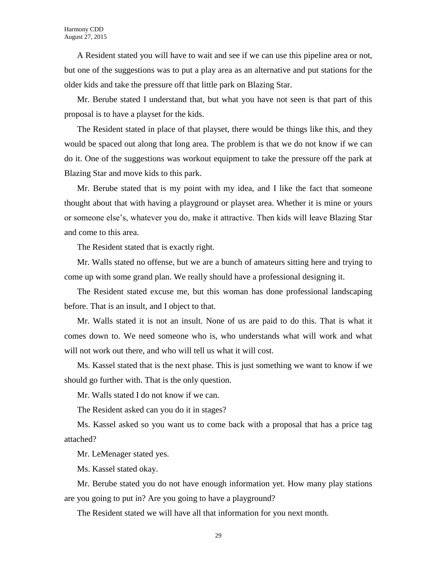A Resident stated you will have to wait and see if we can use this pipeline area or not, but one of the suggestions was to put a play area as an alternative and put stations for the older kids and take the pressure off that little park on Blazing Star.

Mr. Berube stated I understand that, but what you have not seen is that part of this proposal is to have a playset for the kids.

The Resident stated in place of that playset, there would be things like this, and they would be spaced out along that long area. The problem is that we do not know if we can do it. One of the suggestions was workout equipment to take the pressure off the park at Blazing Star and move kids to this park.

Mr. Berube stated that is my point with my idea, and I like the fact that someone thought about that with having a playground or playset area. Whether it is mine or yours or someone else's, whatever you do, make it attractive. Then kids will leave Blazing Star and come to this area.

The Resident stated that is exactly right.

Mr. Walls stated no offense, but we are a bunch of amateurs sitting here and trying to come up with some grand plan. We really should have a professional designing it.

The Resident stated excuse me, but this woman has done professional landscaping before. That is an insult, and I object to that.

Mr. Walls stated it is not an insult. None of us are paid to do this. That is what it comes down to. We need someone who is, who understands what will work and what will not work out there, and who will tell us what it will cost.

Ms. Kassel stated that is the next phase. This is just something we want to know if we should go further with. That is the only question.

Mr. Walls stated I do not know if we can.

The Resident asked can you do it in stages?

Ms. Kassel asked so you want us to come back with a proposal that has a price tag attached?

Mr. LeMenager stated yes.

Ms. Kassel stated okay.

Mr. Berube stated you do not have enough information yet. How many play stations are you going to put in? Are you going to have a playground?

The Resident stated we will have all that information for you next month.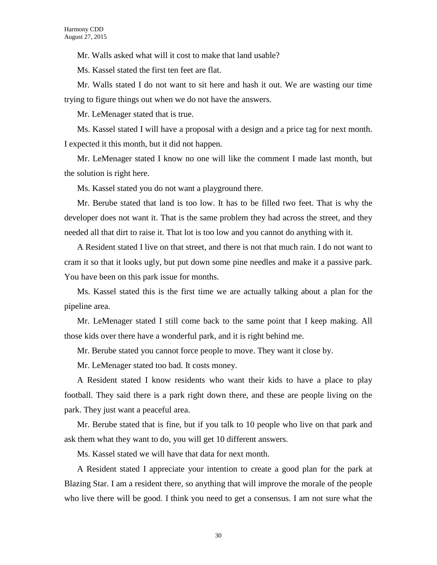Mr. Walls asked what will it cost to make that land usable?

Ms. Kassel stated the first ten feet are flat.

Mr. Walls stated I do not want to sit here and hash it out. We are wasting our time trying to figure things out when we do not have the answers.

Mr. LeMenager stated that is true.

Ms. Kassel stated I will have a proposal with a design and a price tag for next month. I expected it this month, but it did not happen.

Mr. LeMenager stated I know no one will like the comment I made last month, but the solution is right here.

Ms. Kassel stated you do not want a playground there.

Mr. Berube stated that land is too low. It has to be filled two feet. That is why the developer does not want it. That is the same problem they had across the street, and they needed all that dirt to raise it. That lot is too low and you cannot do anything with it.

A Resident stated I live on that street, and there is not that much rain. I do not want to cram it so that it looks ugly, but put down some pine needles and make it a passive park. You have been on this park issue for months.

Ms. Kassel stated this is the first time we are actually talking about a plan for the pipeline area.

Mr. LeMenager stated I still come back to the same point that I keep making. All those kids over there have a wonderful park, and it is right behind me.

Mr. Berube stated you cannot force people to move. They want it close by.

Mr. LeMenager stated too bad. It costs money.

A Resident stated I know residents who want their kids to have a place to play football. They said there is a park right down there, and these are people living on the park. They just want a peaceful area.

Mr. Berube stated that is fine, but if you talk to 10 people who live on that park and ask them what they want to do, you will get 10 different answers.

Ms. Kassel stated we will have that data for next month.

A Resident stated I appreciate your intention to create a good plan for the park at Blazing Star. I am a resident there, so anything that will improve the morale of the people who live there will be good. I think you need to get a consensus. I am not sure what the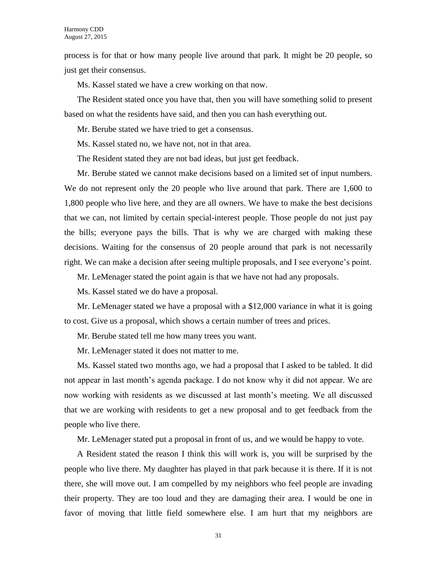process is for that or how many people live around that park. It might be 20 people, so just get their consensus.

Ms. Kassel stated we have a crew working on that now.

The Resident stated once you have that, then you will have something solid to present based on what the residents have said, and then you can hash everything out.

Mr. Berube stated we have tried to get a consensus.

Ms. Kassel stated no, we have not, not in that area.

The Resident stated they are not bad ideas, but just get feedback.

Mr. Berube stated we cannot make decisions based on a limited set of input numbers. We do not represent only the 20 people who live around that park. There are 1,600 to 1,800 people who live here, and they are all owners. We have to make the best decisions that we can, not limited by certain special-interest people. Those people do not just pay the bills; everyone pays the bills. That is why we are charged with making these decisions. Waiting for the consensus of 20 people around that park is not necessarily right. We can make a decision after seeing multiple proposals, and I see everyone's point.

Mr. LeMenager stated the point again is that we have not had any proposals.

Ms. Kassel stated we do have a proposal.

Mr. LeMenager stated we have a proposal with a \$12,000 variance in what it is going to cost. Give us a proposal, which shows a certain number of trees and prices.

Mr. Berube stated tell me how many trees you want.

Mr. LeMenager stated it does not matter to me.

Ms. Kassel stated two months ago, we had a proposal that I asked to be tabled. It did not appear in last month's agenda package. I do not know why it did not appear. We are now working with residents as we discussed at last month's meeting. We all discussed that we are working with residents to get a new proposal and to get feedback from the people who live there.

Mr. LeMenager stated put a proposal in front of us, and we would be happy to vote.

A Resident stated the reason I think this will work is, you will be surprised by the people who live there. My daughter has played in that park because it is there. If it is not there, she will move out. I am compelled by my neighbors who feel people are invading their property. They are too loud and they are damaging their area. I would be one in favor of moving that little field somewhere else. I am hurt that my neighbors are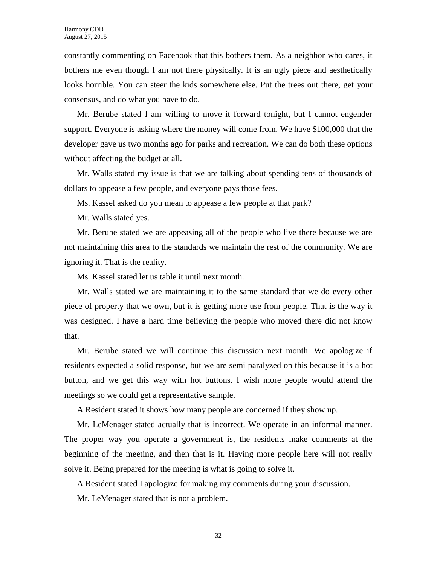constantly commenting on Facebook that this bothers them. As a neighbor who cares, it bothers me even though I am not there physically. It is an ugly piece and aesthetically looks horrible. You can steer the kids somewhere else. Put the trees out there, get your consensus, and do what you have to do.

Mr. Berube stated I am willing to move it forward tonight, but I cannot engender support. Everyone is asking where the money will come from. We have \$100,000 that the developer gave us two months ago for parks and recreation. We can do both these options without affecting the budget at all.

Mr. Walls stated my issue is that we are talking about spending tens of thousands of dollars to appease a few people, and everyone pays those fees.

Ms. Kassel asked do you mean to appease a few people at that park?

Mr. Walls stated yes.

Mr. Berube stated we are appeasing all of the people who live there because we are not maintaining this area to the standards we maintain the rest of the community. We are ignoring it. That is the reality.

Ms. Kassel stated let us table it until next month.

Mr. Walls stated we are maintaining it to the same standard that we do every other piece of property that we own, but it is getting more use from people. That is the way it was designed. I have a hard time believing the people who moved there did not know that.

Mr. Berube stated we will continue this discussion next month. We apologize if residents expected a solid response, but we are semi paralyzed on this because it is a hot button, and we get this way with hot buttons. I wish more people would attend the meetings so we could get a representative sample.

A Resident stated it shows how many people are concerned if they show up.

Mr. LeMenager stated actually that is incorrect. We operate in an informal manner. The proper way you operate a government is, the residents make comments at the beginning of the meeting, and then that is it. Having more people here will not really solve it. Being prepared for the meeting is what is going to solve it.

A Resident stated I apologize for making my comments during your discussion.

Mr. LeMenager stated that is not a problem.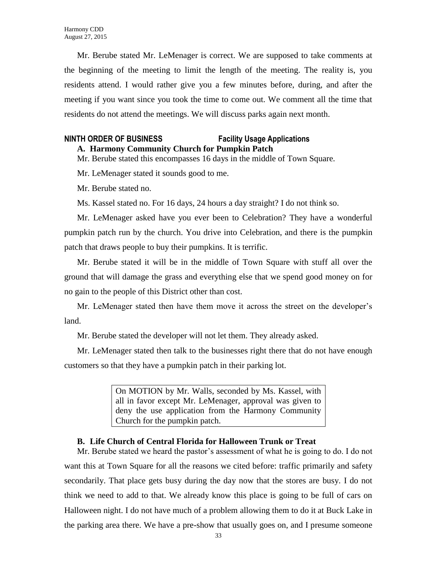Mr. Berube stated Mr. LeMenager is correct. We are supposed to take comments at the beginning of the meeting to limit the length of the meeting. The reality is, you residents attend. I would rather give you a few minutes before, during, and after the meeting if you want since you took the time to come out. We comment all the time that residents do not attend the meetings. We will discuss parks again next month.

#### **NINTH ORDER OF BUSINESS Facility Usage Applications**

**A. Harmony Community Church for Pumpkin Patch**

Mr. Berube stated this encompasses 16 days in the middle of Town Square.

Mr. LeMenager stated it sounds good to me.

Mr. Berube stated no.

Ms. Kassel stated no. For 16 days, 24 hours a day straight? I do not think so.

Mr. LeMenager asked have you ever been to Celebration? They have a wonderful pumpkin patch run by the church. You drive into Celebration, and there is the pumpkin patch that draws people to buy their pumpkins. It is terrific.

Mr. Berube stated it will be in the middle of Town Square with stuff all over the ground that will damage the grass and everything else that we spend good money on for no gain to the people of this District other than cost.

Mr. LeMenager stated then have them move it across the street on the developer's land.

Mr. Berube stated the developer will not let them. They already asked.

Mr. LeMenager stated then talk to the businesses right there that do not have enough customers so that they have a pumpkin patch in their parking lot.

> On MOTION by Mr. Walls, seconded by Ms. Kassel, with all in favor except Mr. LeMenager, approval was given to deny the use application from the Harmony Community Church for the pumpkin patch.

#### **B. Life Church of Central Florida for Halloween Trunk or Treat**

Mr. Berube stated we heard the pastor's assessment of what he is going to do. I do not want this at Town Square for all the reasons we cited before: traffic primarily and safety secondarily. That place gets busy during the day now that the stores are busy. I do not think we need to add to that. We already know this place is going to be full of cars on Halloween night. I do not have much of a problem allowing them to do it at Buck Lake in the parking area there. We have a pre-show that usually goes on, and I presume someone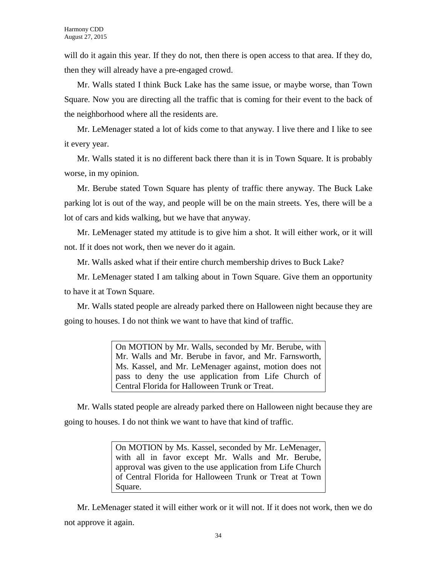will do it again this year. If they do not, then there is open access to that area. If they do, then they will already have a pre-engaged crowd.

Mr. Walls stated I think Buck Lake has the same issue, or maybe worse, than Town Square. Now you are directing all the traffic that is coming for their event to the back of the neighborhood where all the residents are.

Mr. LeMenager stated a lot of kids come to that anyway. I live there and I like to see it every year.

Mr. Walls stated it is no different back there than it is in Town Square. It is probably worse, in my opinion.

Mr. Berube stated Town Square has plenty of traffic there anyway. The Buck Lake parking lot is out of the way, and people will be on the main streets. Yes, there will be a lot of cars and kids walking, but we have that anyway.

Mr. LeMenager stated my attitude is to give him a shot. It will either work, or it will not. If it does not work, then we never do it again.

Mr. Walls asked what if their entire church membership drives to Buck Lake?

Mr. LeMenager stated I am talking about in Town Square. Give them an opportunity to have it at Town Square.

Mr. Walls stated people are already parked there on Halloween night because they are going to houses. I do not think we want to have that kind of traffic.

> On MOTION by Mr. Walls, seconded by Mr. Berube, with Mr. Walls and Mr. Berube in favor, and Mr. Farnsworth, Ms. Kassel, and Mr. LeMenager against, motion does not pass to deny the use application from Life Church of Central Florida for Halloween Trunk or Treat.

Mr. Walls stated people are already parked there on Halloween night because they are going to houses. I do not think we want to have that kind of traffic.

> On MOTION by Ms. Kassel, seconded by Mr. LeMenager, with all in favor except Mr. Walls and Mr. Berube, approval was given to the use application from Life Church of Central Florida for Halloween Trunk or Treat at Town Square.

Mr. LeMenager stated it will either work or it will not. If it does not work, then we do not approve it again.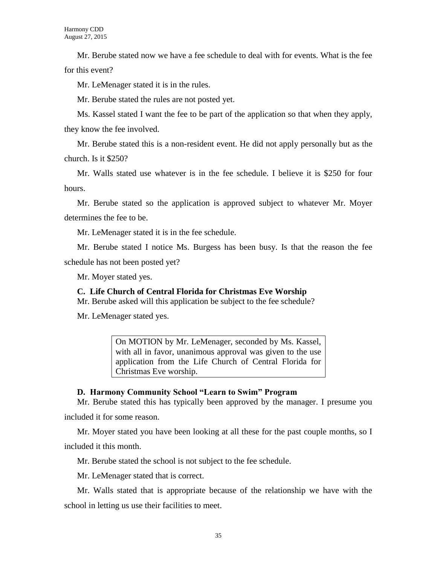Mr. Berube stated now we have a fee schedule to deal with for events. What is the fee for this event?

Mr. LeMenager stated it is in the rules.

Mr. Berube stated the rules are not posted yet.

Ms. Kassel stated I want the fee to be part of the application so that when they apply, they know the fee involved.

Mr. Berube stated this is a non-resident event. He did not apply personally but as the church. Is it \$250?

Mr. Walls stated use whatever is in the fee schedule. I believe it is \$250 for four hours.

Mr. Berube stated so the application is approved subject to whatever Mr. Moyer determines the fee to be.

Mr. LeMenager stated it is in the fee schedule.

Mr. Berube stated I notice Ms. Burgess has been busy. Is that the reason the fee schedule has not been posted yet?

Mr. Moyer stated yes.

#### **C. Life Church of Central Florida for Christmas Eve Worship**

Mr. Berube asked will this application be subject to the fee schedule?

Mr. LeMenager stated yes.

On MOTION by Mr. LeMenager, seconded by Ms. Kassel, with all in favor, unanimous approval was given to the use application from the Life Church of Central Florida for Christmas Eve worship.

#### **D. Harmony Community School "Learn to Swim" Program**

Mr. Berube stated this has typically been approved by the manager. I presume you included it for some reason.

Mr. Moyer stated you have been looking at all these for the past couple months, so I included it this month.

Mr. Berube stated the school is not subject to the fee schedule.

Mr. LeMenager stated that is correct.

Mr. Walls stated that is appropriate because of the relationship we have with the school in letting us use their facilities to meet.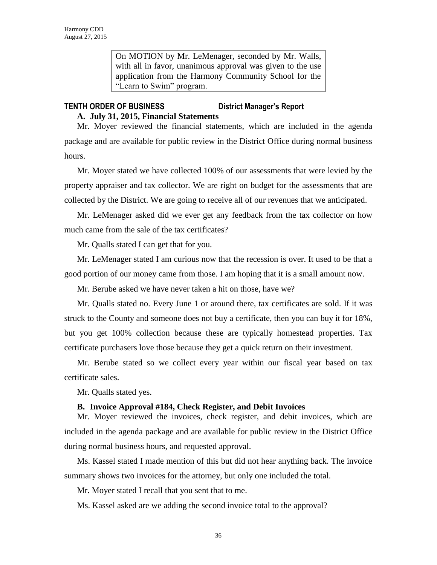On MOTION by Mr. LeMenager, seconded by Mr. Walls, with all in favor, unanimous approval was given to the use application from the Harmony Community School for the "Learn to Swim" program.

# **TENTH ORDER OF BUSINESS District Manager's Report**

**A. July 31, 2015, Financial Statements**

Mr. Moyer reviewed the financial statements, which are included in the agenda package and are available for public review in the District Office during normal business hours.

Mr. Moyer stated we have collected 100% of our assessments that were levied by the property appraiser and tax collector. We are right on budget for the assessments that are collected by the District. We are going to receive all of our revenues that we anticipated.

Mr. LeMenager asked did we ever get any feedback from the tax collector on how much came from the sale of the tax certificates?

Mr. Qualls stated I can get that for you.

Mr. LeMenager stated I am curious now that the recession is over. It used to be that a good portion of our money came from those. I am hoping that it is a small amount now.

Mr. Berube asked we have never taken a hit on those, have we?

Mr. Qualls stated no. Every June 1 or around there, tax certificates are sold. If it was struck to the County and someone does not buy a certificate, then you can buy it for 18%, but you get 100% collection because these are typically homestead properties. Tax certificate purchasers love those because they get a quick return on their investment.

Mr. Berube stated so we collect every year within our fiscal year based on tax certificate sales.

Mr. Qualls stated yes.

#### **B. Invoice Approval #184, Check Register, and Debit Invoices**

Mr. Moyer reviewed the invoices, check register, and debit invoices, which are included in the agenda package and are available for public review in the District Office during normal business hours, and requested approval.

Ms. Kassel stated I made mention of this but did not hear anything back. The invoice summary shows two invoices for the attorney, but only one included the total.

Mr. Moyer stated I recall that you sent that to me.

Ms. Kassel asked are we adding the second invoice total to the approval?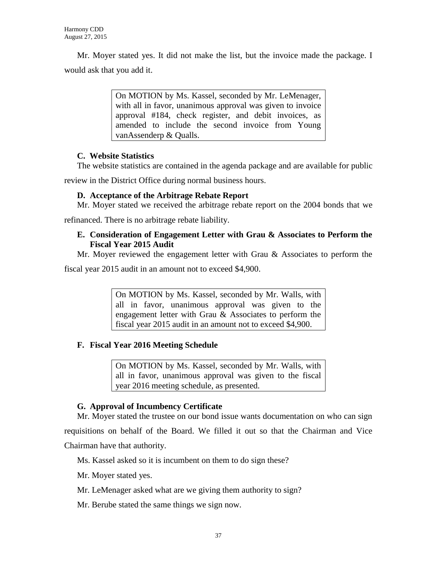Mr. Moyer stated yes. It did not make the list, but the invoice made the package. I would ask that you add it.

> On MOTION by Ms. Kassel, seconded by Mr. LeMenager, with all in favor, unanimous approval was given to invoice approval #184, check register, and debit invoices, as amended to include the second invoice from Young vanAssenderp & Qualls.

### **C. Website Statistics**

The website statistics are contained in the agenda package and are available for public

review in the District Office during normal business hours.

#### **D. Acceptance of the Arbitrage Rebate Report**

Mr. Moyer stated we received the arbitrage rebate report on the 2004 bonds that we

refinanced. There is no arbitrage rebate liability.

#### **E. Consideration of Engagement Letter with Grau & Associates to Perform the Fiscal Year 2015 Audit**

Mr. Moyer reviewed the engagement letter with Grau & Associates to perform the

fiscal year 2015 audit in an amount not to exceed \$4,900.

On MOTION by Ms. Kassel, seconded by Mr. Walls, with all in favor, unanimous approval was given to the engagement letter with Grau & Associates to perform the fiscal year 2015 audit in an amount not to exceed \$4,900.

# **F. Fiscal Year 2016 Meeting Schedule**

On MOTION by Ms. Kassel, seconded by Mr. Walls, with all in favor, unanimous approval was given to the fiscal year 2016 meeting schedule, as presented.

# **G. Approval of Incumbency Certificate**

Mr. Moyer stated the trustee on our bond issue wants documentation on who can sign requisitions on behalf of the Board. We filled it out so that the Chairman and Vice Chairman have that authority.

Ms. Kassel asked so it is incumbent on them to do sign these?

Mr. Moyer stated yes.

Mr. LeMenager asked what are we giving them authority to sign?

Mr. Berube stated the same things we sign now.